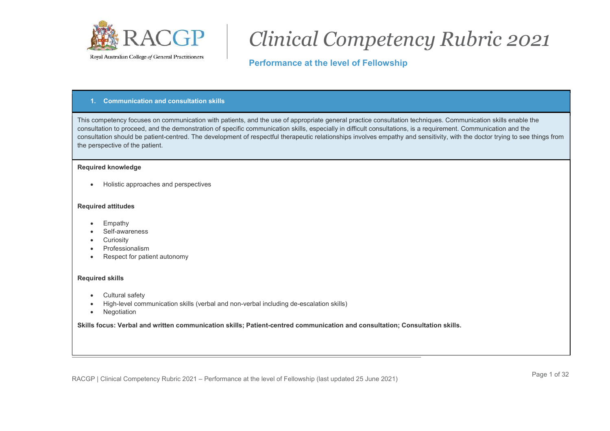

# Clinical Competency Rubric 2021

# Performance at the level of Fellowship

#### 1. Communication and consultation skills

This competency focuses on communication with patients, and the use of appropriate general practice consultation techniques. Communication skills enable the consultation to proceed, and the demonstration of specific communication skills, especially in difficult consultations, is a requirement. Communication and the consultation should be patient-centred. The development of respectful therapeutic relationships involves empathy and sensitivity, with the doctor trying to see things from the perspective of the patient.

#### Required knowledge

• Holistic approaches and perspectives

#### Required attitudes

- Empathy
- Self-awareness
- Curiosity
- Professionalism
- Respect for patient autonomy

#### Required skills

- Cultural safety
- High-level communication skills (verbal and non-verbal including de-escalation skills)
- Negotiation

Skills focus: Verbal and written communication skills; Patient-centred communication and consultation; Consultation skills.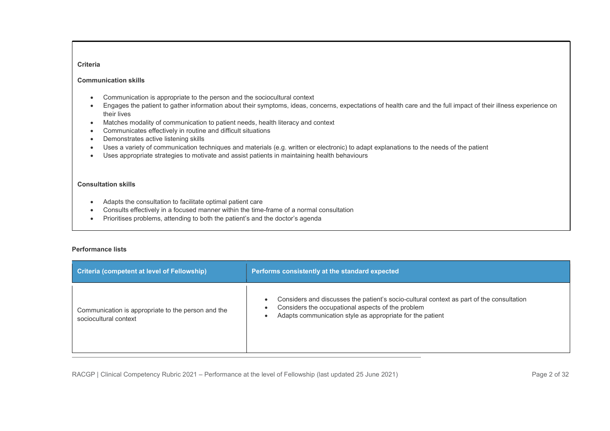#### Communication skills

- Communication is appropriate to the person and the sociocultural context
- Engages the patient to gather information about their symptoms, ideas, concerns, expectations of health care and the full impact of their illness experience on their lives
- Matches modality of communication to patient needs, health literacy and context
- Communicates effectively in routine and difficult situations
- Demonstrates active listening skills
- Uses a variety of communication techniques and materials (e.g. written or electronic) to adapt explanations to the needs of the patient
- Uses appropriate strategies to motivate and assist patients in maintaining health behaviours

#### Consultation skills

- Adapts the consultation to facilitate optimal patient care
- Consults effectively in a focused manner within the time-frame of a normal consultation
- Prioritises problems, attending to both the patient's and the doctor's agenda

#### Performance lists

| Criteria (competent at level of Fellowship)                                 | Performs consistently at the standard expected                                                                                                                                                             |
|-----------------------------------------------------------------------------|------------------------------------------------------------------------------------------------------------------------------------------------------------------------------------------------------------|
| Communication is appropriate to the person and the<br>sociocultural context | Considers and discusses the patient's socio-cultural context as part of the consultation<br>Considers the occupational aspects of the problem<br>Adapts communication style as appropriate for the patient |

RACGP | Clinical Competency Rubric 2021 – Performance at the level of Fellowship (last updated 25 June 2021) Page 2 of 32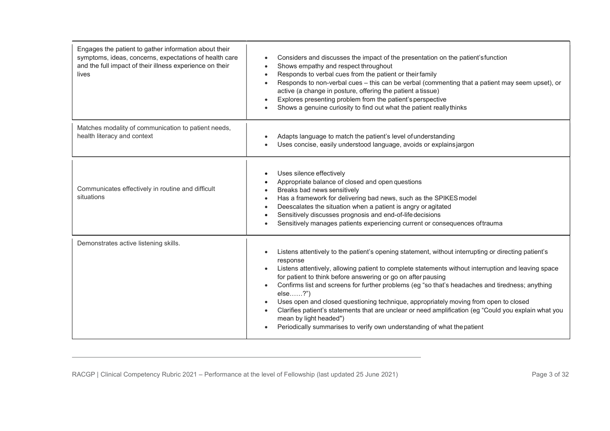| Engages the patient to gather information about their<br>symptoms, ideas, concerns, expectations of health care<br>and the full impact of their illness experience on their<br>lives | Considers and discusses the impact of the presentation on the patient's function<br>Shows empathy and respect throughout<br>Responds to verbal cues from the patient or their family<br>$\bullet$<br>Responds to non-verbal cues - this can be verbal (commenting that a patient may seem upset), or<br>active (a change in posture, offering the patient a tissue)<br>Explores presenting problem from the patient's perspective<br>Shows a genuine curiosity to find out what the patient really thinks                                                                                                                                                                                                  |
|--------------------------------------------------------------------------------------------------------------------------------------------------------------------------------------|------------------------------------------------------------------------------------------------------------------------------------------------------------------------------------------------------------------------------------------------------------------------------------------------------------------------------------------------------------------------------------------------------------------------------------------------------------------------------------------------------------------------------------------------------------------------------------------------------------------------------------------------------------------------------------------------------------|
| Matches modality of communication to patient needs,<br>health literacy and context                                                                                                   | Adapts language to match the patient's level of understanding<br>Uses concise, easily understood language, avoids or explains jargon                                                                                                                                                                                                                                                                                                                                                                                                                                                                                                                                                                       |
| Communicates effectively in routine and difficult<br>situations                                                                                                                      | Uses silence effectively<br>Appropriate balance of closed and open questions<br>Breaks bad news sensitively<br>Has a framework for delivering bad news, such as the SPIKES model<br>Deescalates the situation when a patient is angry or agitated<br>Sensitively discusses prognosis and end-of-life decisions<br>Sensitively manages patients experiencing current or consequences of trauma                                                                                                                                                                                                                                                                                                              |
| Demonstrates active listening skills.                                                                                                                                                | Listens attentively to the patient's opening statement, without interrupting or directing patient's<br>response<br>Listens attentively, allowing patient to complete statements without interruption and leaving space<br>for patient to think before answering or go on after pausing<br>Confirms list and screens for further problems (eg "so that's headaches and tiredness; anything<br>else?")<br>Uses open and closed questioning technique, appropriately moving from open to closed<br>Clarifies patient's statements that are unclear or need amplification (eg "Could you explain what you<br>mean by light headed")<br>Periodically summarises to verify own understanding of what the patient |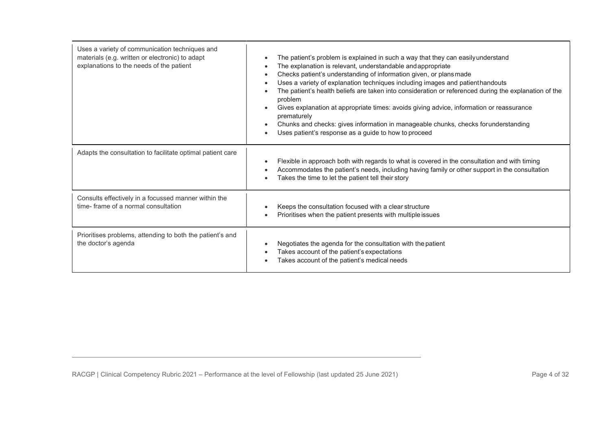| Uses a variety of communication techniques and<br>materials (e.g. written or electronic) to adapt<br>explanations to the needs of the patient | The patient's problem is explained in such a way that they can easily understand<br>The explanation is relevant, understandable and appropriate<br>Checks patient's understanding of information given, or plans made<br>Uses a variety of explanation techniques including images and patienthandouts<br>The patient's health beliefs are taken into consideration or referenced during the explanation of the<br>problem<br>Gives explanation at appropriate times: avoids giving advice, information or reassurance<br>prematurely<br>Chunks and checks: gives information in manageable chunks, checks forunderstanding<br>Uses patient's response as a guide to how to proceed<br>$\bullet$ |
|-----------------------------------------------------------------------------------------------------------------------------------------------|--------------------------------------------------------------------------------------------------------------------------------------------------------------------------------------------------------------------------------------------------------------------------------------------------------------------------------------------------------------------------------------------------------------------------------------------------------------------------------------------------------------------------------------------------------------------------------------------------------------------------------------------------------------------------------------------------|
| Adapts the consultation to facilitate optimal patient care                                                                                    | Flexible in approach both with regards to what is covered in the consultation and with timing<br>Accommodates the patient's needs, including having family or other support in the consultation<br>Takes the time to let the patient tell their story                                                                                                                                                                                                                                                                                                                                                                                                                                            |
| Consults effectively in a focussed manner within the<br>time-frame of a normal consultation                                                   | Keeps the consultation focused with a clear structure<br>Prioritises when the patient presents with multiple issues                                                                                                                                                                                                                                                                                                                                                                                                                                                                                                                                                                              |
| Prioritises problems, attending to both the patient's and<br>the doctor's agenda                                                              | Negotiates the agenda for the consultation with the patient<br>Takes account of the patient's expectations<br>Takes account of the patient's medical needs                                                                                                                                                                                                                                                                                                                                                                                                                                                                                                                                       |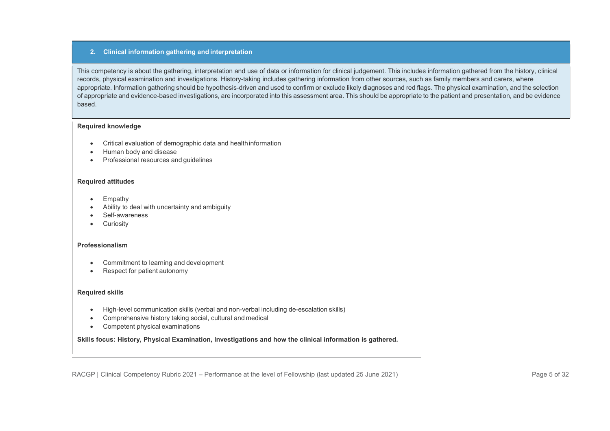## 2. Clinical information gathering and interpretation

This competency is about the gathering, interpretation and use of data or information for clinical judgement. This includes information gathered from the history, clinical records, physical examination and investigations. History-taking includes gathering information from other sources, such as family members and carers, where appropriate. Information gathering should be hypothesis-driven and used to confirm or exclude likely diagnoses and red flags. The physical examination, and the selection of appropriate and evidence-based investigations, are incorporated into this assessment area. This should be appropriate to the patient and presentation, and be evidence based.

#### Required knowledge

- Critical evaluation of demographic data and health information
- Human body and disease
- Professional resources and guidelines

## Required attitudes

- Empathy
- Ability to deal with uncertainty and ambiguity
- Self-awareness
- **•** Curiosity

## Professionalism

- Commitment to learning and development
- Respect for patient autonomy

#### Required skills

- High-level communication skills (verbal and non-verbal including de-escalation skills)
- Comprehensive history taking social, cultural and medical
- Competent physical examinations

Skills focus: History, Physical Examination, Investigations and how the clinical information is gathered.

RACGP | Clinical Competency Rubric 2021 – Performance at the level of Fellowship (last updated 25 June 2021) Page 5 of 32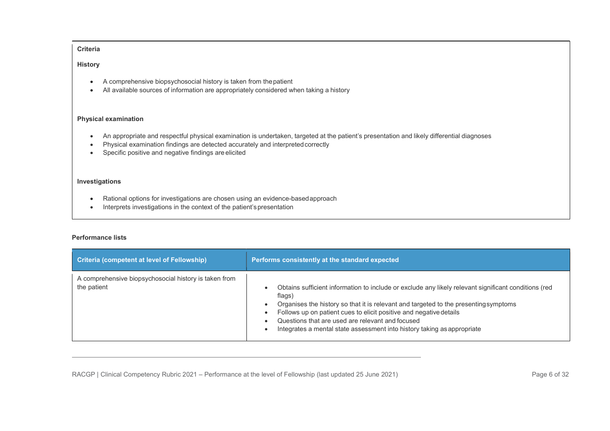**History** 

- A comprehensive biopsychosocial history is taken from the patient
- All available sources of information are appropriately considered when taking a history

## Physical examination

- An appropriate and respectful physical examination is undertaken, targeted at the patient's presentation and likely differential diagnoses
- Physical examination findings are detected accurately and interpreted correctly
- **•** Specific positive and negative findings are elicited

## Investigations

- Rational options for investigations are chosen using an evidence-based approach
- Interprets investigations in the context of the patient's presentation

#### Performance lists

| <b>Criteria (competent at level of Fellowship)</b>                   | Performs consistently at the standard expected                                                                                                                                                                                                                                                                                                                                                                           |
|----------------------------------------------------------------------|--------------------------------------------------------------------------------------------------------------------------------------------------------------------------------------------------------------------------------------------------------------------------------------------------------------------------------------------------------------------------------------------------------------------------|
| A comprehensive biopsychosocial history is taken from<br>the patient | Obtains sufficient information to include or exclude any likely relevant significant conditions (red<br>$\bullet$<br>flags)<br>Organises the history so that it is relevant and targeted to the presenting symptoms<br>Follows up on patient cues to elicit positive and negative details<br>Questions that are used are relevant and focused<br>Integrates a mental state assessment into history taking as appropriate |

RACGP | Clinical Competency Rubric 2021 – Performance at the level of Fellowship (last updated 25 June 2021) Page 6 of 32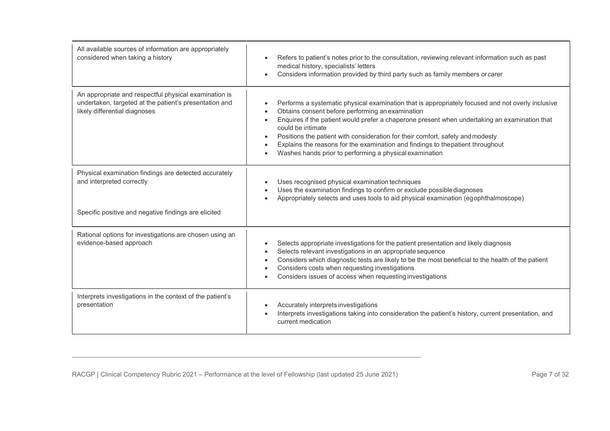| All available sources of information are appropriately<br>considered when taking a history                                                       | Refers to patient's notes prior to the consultation, reviewing relevant information such as past<br>medical history, specialists' letters<br>Considers information provided by third party such as family members or carer<br>$\bullet$                                                                                                                                                                                                                                                                                              |
|--------------------------------------------------------------------------------------------------------------------------------------------------|--------------------------------------------------------------------------------------------------------------------------------------------------------------------------------------------------------------------------------------------------------------------------------------------------------------------------------------------------------------------------------------------------------------------------------------------------------------------------------------------------------------------------------------|
| An appropriate and respectful physical examination is<br>undertaken, targeted at the patient's presentation and<br>likely differential diagnoses | Performs a systematic physical examination that is appropriately focused and not overly inclusive<br>Obtains consent before performing an examination<br>$\bullet$<br>Enquires if the patient would prefer a chaperone present when undertaking an examination that<br>could be intimate<br>Positions the patient with consideration for their comfort, safety and modesty<br>$\bullet$<br>Explains the reasons for the examination and findings to thepatient throughout<br>Washes hands prior to performing a physical examination |
| Physical examination findings are detected accurately<br>and interpreted correctly<br>Specific positive and negative findings are elicited       | Uses recognised physical examination techniques<br>Uses the examination findings to confirm or exclude possible diagnoses<br>Appropriately selects and uses tools to aid physical examination (egophthalmoscope)                                                                                                                                                                                                                                                                                                                     |
| Rational options for investigations are chosen using an<br>evidence-based approach                                                               | Selects appropriate investigations for the patient presentation and likely diagnosis<br>Selects relevant investigations in an appropriate sequence<br>Considers which diagnostic tests are likely to be the most beneficial to the health of the patient<br>$\bullet$<br>Considers costs when requesting investigations<br>$\bullet$<br>Considers issues of access when requesting investigations                                                                                                                                    |
| Interprets investigations in the context of the patient's<br>presentation                                                                        | Accurately interprets investigations<br>Interprets investigations taking into consideration the patient's history, current presentation, and<br>current medication                                                                                                                                                                                                                                                                                                                                                                   |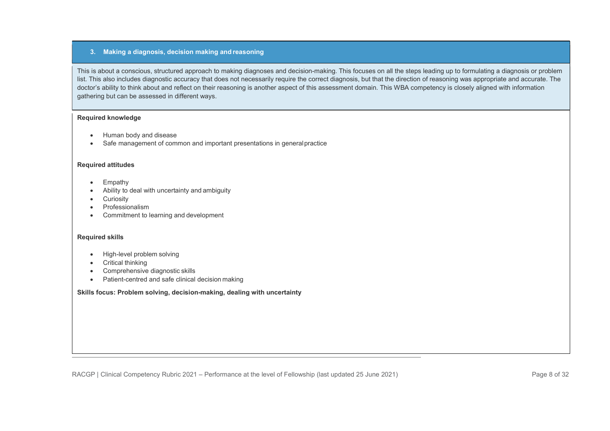## 3. Making a diagnosis, decision making and reasoning

This is about a conscious, structured approach to making diagnoses and decision-making. This focuses on all the steps leading up to formulating a diagnosis or problem list. This also includes diagnostic accuracy that does not necessarily require the correct diagnosis, but that the direction of reasoning was appropriate and accurate. The doctor's ability to think about and reflect on their reasoning is another aspect of this assessment domain. This WBA competency is closely aligned with information gathering but can be assessed in different ways.

## Required knowledge

- Human body and disease
- Safe management of common and important presentations in general practice

## Required attitudes

- Empathy
- Ability to deal with uncertainty and ambiguity
- **•** Curiosity
- Professionalism
- Commitment to learning and development

## Required skills

- High-level problem solving
- Critical thinking
- Comprehensive diagnostic skills
- Patient-centred and safe clinical decision making

Skills focus: Problem solving, decision-making, dealing with uncertainty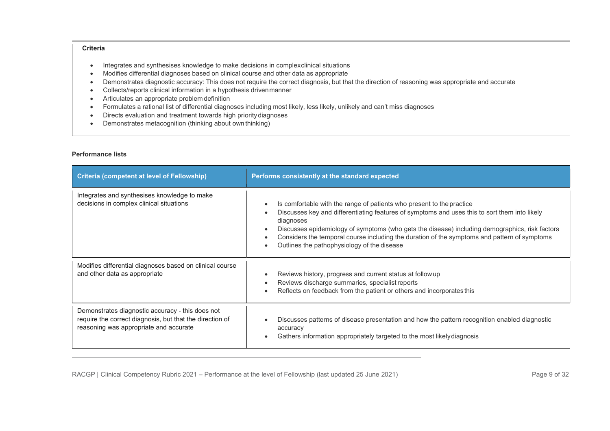- Integrates and synthesises knowledge to make decisions in complex clinical situations
- Modifies differential diagnoses based on clinical course and other data as appropriate
- Demonstrates diagnostic accuracy: This does not require the correct diagnosis, but that the direction of reasoning was appropriate and accurate
- Collects/reports clinical information in a hypothesis driven manner
- Articulates an appropriate problem definition
- Formulates a rational list of differential diagnoses including most likely, less likely, unlikely and can't miss diagnoses
- Directs evaluation and treatment towards high priority diagnoses
- Demonstrates metacognition (thinking about own thinking)

#### Performance lists

| <b>Criteria (competent at level of Fellowship)</b>                                                                                                     | Performs consistently at the standard expected                                                                                                                                                                                                                                                                                                                                                                                       |
|--------------------------------------------------------------------------------------------------------------------------------------------------------|--------------------------------------------------------------------------------------------------------------------------------------------------------------------------------------------------------------------------------------------------------------------------------------------------------------------------------------------------------------------------------------------------------------------------------------|
| Integrates and synthesises knowledge to make<br>decisions in complex clinical situations                                                               | Is comfortable with the range of patients who present to the practice<br>Discusses key and differentiating features of symptoms and uses this to sort them into likely<br>diagnoses<br>Discusses epidemiology of symptoms (who gets the disease) including demographics, risk factors<br>Considers the temporal course including the duration of the symptoms and pattern of symptoms<br>Outlines the pathophysiology of the disease |
| Modifies differential diagnoses based on clinical course<br>and other data as appropriate                                                              | Reviews history, progress and current status at follow up<br>Reviews discharge summaries, specialist reports<br>Reflects on feedback from the patient or others and incorporates this                                                                                                                                                                                                                                                |
| Demonstrates diagnostic accuracy - this does not<br>require the correct diagnosis, but that the direction of<br>reasoning was appropriate and accurate | Discusses patterns of disease presentation and how the pattern recognition enabled diagnostic<br>accuracy<br>Gathers information appropriately targeted to the most likely diagnosis                                                                                                                                                                                                                                                 |

RACGP | Clinical Competency Rubric 2021 – Performance at the level of Fellowship (last updated 25 June 2021) Page 9 of 32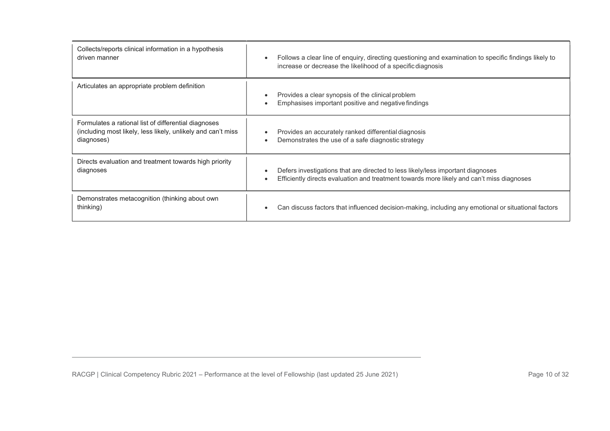| Collects/reports clinical information in a hypothesis        | Follows a clear line of enquiry, directing questioning and examination to specific findings likely to    |
|--------------------------------------------------------------|----------------------------------------------------------------------------------------------------------|
| driven manner                                                | increase or decrease the likelihood of a specific diagnosis                                              |
| Articulates an appropriate problem definition                | Provides a clear synopsis of the clinical problem<br>Emphasises important positive and negative findings |
| Formulates a rational list of differential diagnoses         | Provides an accurately ranked differential diagnosis                                                     |
| (including most likely, less likely, unlikely and can't miss | Demonstrates the use of a safe diagnostic strategy                                                       |
| diagnoses)                                                   | $\bullet$                                                                                                |
| Directs evaluation and treatment towards high priority       | Defers investigations that are directed to less likely/less important diagnoses                          |
| diagnoses                                                    | Efficiently directs evaluation and treatment towards more likely and can't miss diagnoses                |
| Demonstrates metacognition (thinking about own               | Can discuss factors that influenced decision-making, including any emotional or situational factors      |
| thinking)                                                    | $\bullet$                                                                                                |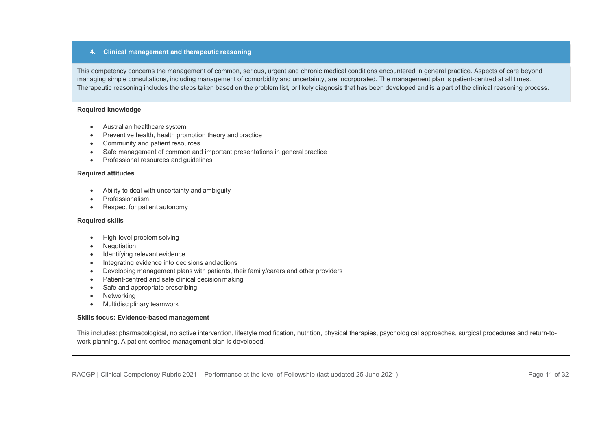#### 4. Clinical management and therapeutic reasoning

This competency concerns the management of common, serious, urgent and chronic medical conditions encountered in general practice. Aspects of care beyond managing simple consultations, including management of comorbidity and uncertainty, are incorporated. The management plan is patient-centred at all times. Therapeutic reasoning includes the steps taken based on the problem list, or likely diagnosis that has been developed and is a part of the clinical reasoning process.

#### Required knowledge

- Australian healthcare system
- Preventive health, health promotion theory and practice
- Community and patient resources
- Safe management of common and important presentations in general practice
- Professional resources and guidelines

#### Required attitudes

- Ability to deal with uncertainty and ambiguity
- Professionalism
- Respect for patient autonomy

## Required skills

- High-level problem solving
- Negotiation
- Identifying relevant evidence
- Integrating evidence into decisions and actions
- Developing management plans with patients, their family/carers and other providers
- Patient-centred and safe clinical decision making
- Safe and appropriate prescribing
- Networking
- Multidisciplinary teamwork

## Skills focus: Evidence-based management

This includes: pharmacological, no active intervention, lifestyle modification, nutrition, physical therapies, psychological approaches, surgical procedures and return-towork planning. A patient-centred management plan is developed.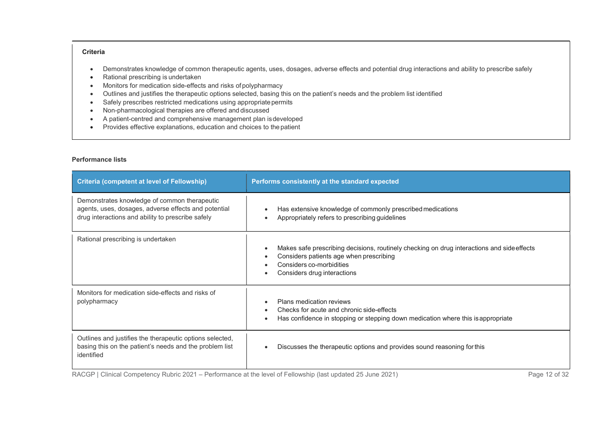- Demonstrates knowledge of common therapeutic agents, uses, dosages, adverse effects and potential drug interactions and ability to prescribe safely
- Rational prescribing is undertaken
- Monitors for medication side-effects and risks of polypharmacy
- Outlines and justifies the therapeutic options selected, basing this on the patient's needs and the problem list identified
- Safely prescribes restricted medications using appropriate permits
- Non-pharmacological therapies are offered and discussed
- A patient-centred and comprehensive management plan is developed
- Provides effective explanations, education and choices to the patient

## Performance lists

| <b>Criteria (competent at level of Fellowship)</b>                                                                                                        | Performs consistently at the standard expected                                                                                                                                                                                          |
|-----------------------------------------------------------------------------------------------------------------------------------------------------------|-----------------------------------------------------------------------------------------------------------------------------------------------------------------------------------------------------------------------------------------|
| Demonstrates knowledge of common therapeutic<br>agents, uses, dosages, adverse effects and potential<br>drug interactions and ability to prescribe safely | Has extensive knowledge of commonly prescribed medications<br>$\bullet$<br>Appropriately refers to prescribing guidelines<br>$\bullet$                                                                                                  |
| Rational prescribing is undertaken                                                                                                                        | Makes safe prescribing decisions, routinely checking on drug interactions and side effects<br>$\bullet$<br>Considers patients age when prescribing<br>$\bullet$<br>Considers co-morbidities<br>Considers drug interactions<br>$\bullet$ |
| Monitors for medication side-effects and risks of<br>polypharmacy                                                                                         | Plans medication reviews<br>Checks for acute and chronic side-effects<br>$\bullet$<br>Has confidence in stopping or stepping down medication where this is appropriate<br>$\bullet$                                                     |
| Outlines and justifies the therapeutic options selected,<br>basing this on the patient's needs and the problem list<br>identified                         | Discusses the therapeutic options and provides sound reasoning for this<br>$\bullet$                                                                                                                                                    |

RACGP | Clinical Competency Rubric 2021 – Performance at the level of Fellowship (last updated 25 June 2021) Page 12 of 32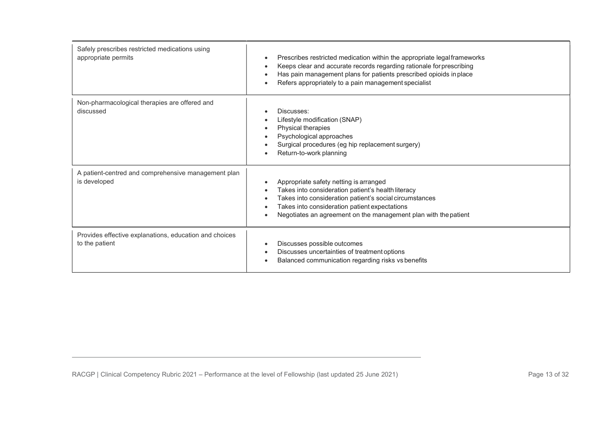| Safely prescribes restricted medications using<br>appropriate permits    | Prescribes restricted medication within the appropriate legal frameworks<br>Keeps clear and accurate records regarding rationale for prescribing<br>Has pain management plans for patients prescribed opioids in place<br>Refers appropriately to a pain management specialist<br>$\bullet$                                     |
|--------------------------------------------------------------------------|---------------------------------------------------------------------------------------------------------------------------------------------------------------------------------------------------------------------------------------------------------------------------------------------------------------------------------|
| Non-pharmacological therapies are offered and<br>discussed               | Discusses:<br>Lifestyle modification (SNAP)<br>Physical therapies<br>$\bullet$<br>Psychological approaches<br>$\bullet$<br>Surgical procedures (eg hip replacement surgery)<br>$\bullet$<br>Return-to-work planning<br>$\bullet$                                                                                                |
| A patient-centred and comprehensive management plan<br>is developed      | Appropriate safety netting is arranged<br>$\bullet$<br>Takes into consideration patient's health literacy<br>$\bullet$<br>Takes into consideration patient's social circumstances<br>Takes into consideration patient expectations<br>$\bullet$<br>Negotiates an agreement on the management plan with the patient<br>$\bullet$ |
| Provides effective explanations, education and choices<br>to the patient | Discusses possible outcomes<br>$\bullet$<br>Discusses uncertainties of treatment options<br>$\bullet$<br>Balanced communication regarding risks vs benefits                                                                                                                                                                     |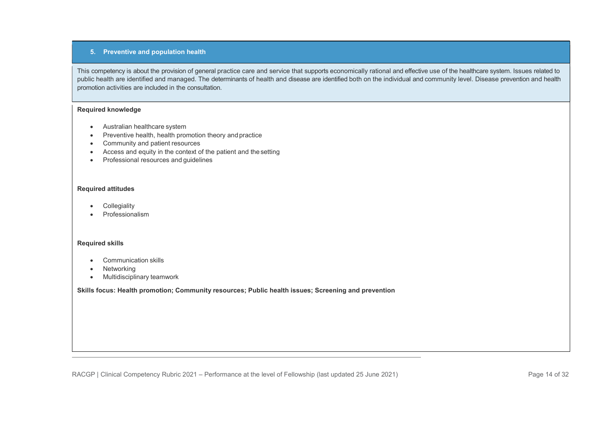## 5. Preventive and population health

This competency is about the provision of general practice care and service that supports economically rational and effective use of the healthcare system. Issues related to public health are identified and managed. The determinants of health and disease are identified both on the individual and community level. Disease prevention and health promotion activities are included in the consultation.

## Required knowledge

- Australian healthcare system
- Preventive health, health promotion theory and practice
- Community and patient resources
- Access and equity in the context of the patient and the setting
- Professional resources and guidelines

#### Required attitudes

- **Collegiality**
- Professionalism

#### Required skills

- Communication skills
- Networking
- Multidisciplinary teamwork

Skills focus: Health promotion; Community resources; Public health issues; Screening and prevention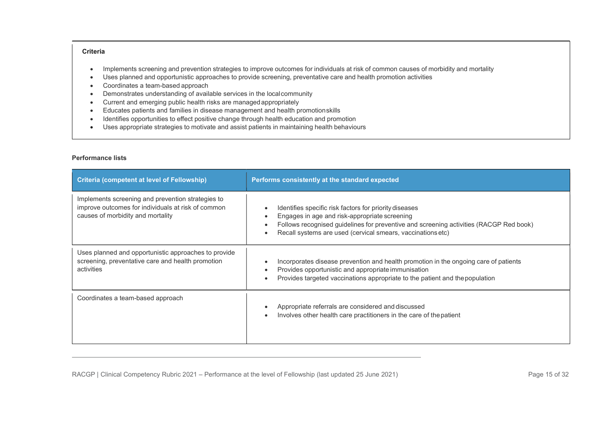- Implements screening and prevention strategies to improve outcomes for individuals at risk of common causes of morbidity and mortality
- Uses planned and opportunistic approaches to provide screening, preventative care and health promotion activities
- Coordinates a team-based approach
- Demonstrates understanding of available services in the local community
- Current and emerging public health risks are managed appropriately
- Educates patients and families in disease management and health promotion skills
- Identifies opportunities to effect positive change through health education and promotion
- Uses appropriate strategies to motivate and assist patients in maintaining health behaviours

| <b>Criteria (competent at level of Fellowship)</b>                                                                                           | Performs consistently at the standard expected                                                                                                                                                                                                                                                          |
|----------------------------------------------------------------------------------------------------------------------------------------------|---------------------------------------------------------------------------------------------------------------------------------------------------------------------------------------------------------------------------------------------------------------------------------------------------------|
| Implements screening and prevention strategies to<br>improve outcomes for individuals at risk of common<br>causes of morbidity and mortality | Identifies specific risk factors for priority diseases<br>Engages in age and risk-appropriate screening<br>$\bullet$<br>Follows recognised guidelines for preventive and screening activities (RACGP Red book)<br>$\bullet$<br>Recall systems are used (cervical smears, vaccinations etc)<br>$\bullet$ |
| Uses planned and opportunistic approaches to provide<br>screening, preventative care and health promotion<br>activities                      | Incorporates disease prevention and health promotion in the ongoing care of patients<br>Provides opportunistic and appropriate immunisation<br>$\bullet$<br>Provides targeted vaccinations appropriate to the patient and the population<br>$\bullet$                                                   |
| Coordinates a team-based approach                                                                                                            | Appropriate referrals are considered and discussed<br>Involves other health care practitioners in the care of the patient                                                                                                                                                                               |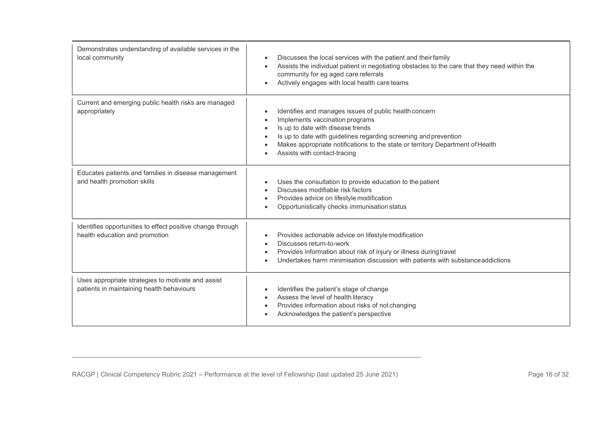| Demonstrates understanding of available services in the<br>local community                      | Discusses the local services with the patient and their family<br>Assists the individual patient in negotiating obstacles to the care that they need within the<br>$\bullet$<br>community for eg aged care referrals<br>Actively engages with local health care teams                                                |
|-------------------------------------------------------------------------------------------------|----------------------------------------------------------------------------------------------------------------------------------------------------------------------------------------------------------------------------------------------------------------------------------------------------------------------|
| Current and emerging public health risks are managed<br>appropriately                           | Identifies and manages issues of public health concern<br>Implements vaccination programs<br>Is up to date with disease trends<br>Is up to date with guidelines regarding screening and prevention<br>Makes appropriate notifications to the state or territory Department of Health<br>Assists with contact-tracing |
| Educates patients and families in disease management<br>and health promotion skills             | Uses the consultation to provide education to the patient<br>$\bullet$<br>Discusses modifiable risk factors<br>$\bullet$<br>Provides advice on lifestyle modification<br>Opportunistically checks immunisation status                                                                                                |
| Identifies opportunities to effect positive change through<br>health education and promotion    | Provides actionable advice on lifestyle modification<br>$\bullet$<br>Discusses return-to-work<br>$\bullet$<br>Provides information about risk of injury or illness during travel<br>Undertakes harm minimisation discussion with patients with substance addictions                                                  |
| Uses appropriate strategies to motivate and assist<br>patients in maintaining health behaviours | Identifies the patient's stage of change<br>Assess the level of health literacy<br>Provides information about risks of not changing<br>Acknowledges the patient's perspective                                                                                                                                        |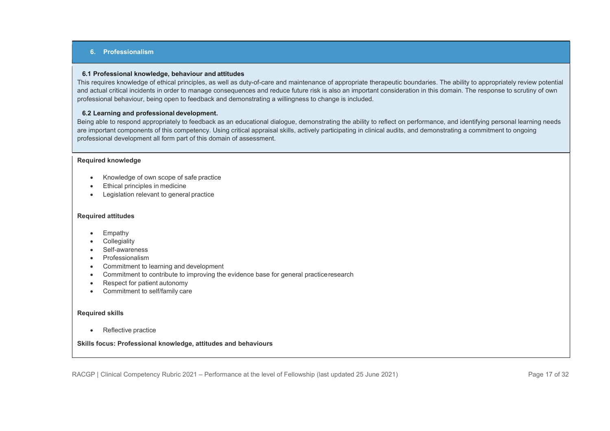## 6. Professionalism

#### 6.1 Professional knowledge, behaviour and attitudes

This requires knowledge of ethical principles, as well as duty-of-care and maintenance of appropriate therapeutic boundaries. The ability to appropriately review potential and actual critical incidents in order to manage consequences and reduce future risk is also an important consideration in this domain. The response to scrutiny of own professional behaviour, being open to feedback and demonstrating a willingness to change is included.

## 6.2 Learning and professional development.

Being able to respond appropriately to feedback as an educational dialogue, demonstrating the ability to reflect on performance, and identifying personal learning needs are important components of this competency. Using critical appraisal skills, actively participating in clinical audits, and demonstrating a commitment to ongoing professional development all form part of this domain of assessment.

#### Required knowledge

- Knowledge of own scope of safe practice
- **Ethical principles in medicine**
- Legislation relevant to general practice

#### Required attitudes

- Empathy
- **•** Collegiality
- Self-awareness
- Professionalism
- Commitment to learning and development
- Commitment to contribute to improving the evidence base for general practice research
- Respect for patient autonomy
- Commitment to self/family care

#### Required skills

• Reflective practice

## Skills focus: Professional knowledge, attitudes and behaviours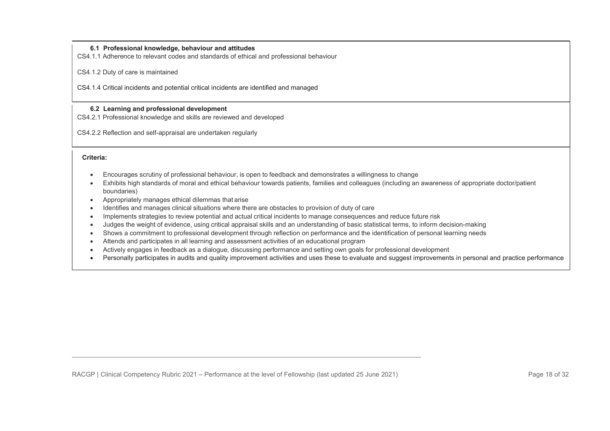## 6.1 Professional knowledge, behaviour and attitudes

CS4.1.1 Adherence to relevant codes and standards of ethical and professional behaviour

CS4.1.2 Duty of care is maintained

CS4.1.4 Critical incidents and potential critical incidents are identified and managed

## 6.2 Learning and professional development

CS4.2.1 Professional knowledge and skills are reviewed and developed

CS4.2.2 Reflection and self-appraisal are undertaken regularly

Criteria:

- Encourages scrutiny of professional behaviour, is open to feedback and demonstrates a willingness to change
- Exhibits high standards of moral and ethical behaviour towards patients, families and colleagues (including an awareness of appropriate doctor/patient boundaries)
- Appropriately manages ethical dilemmas that arise
- Identifies and manages clinical situations where there are obstacles to provision of duty of care
- Implements strategies to review potential and actual critical incidents to manage consequences and reduce future risk
- Judges the weight of evidence, using critical appraisal skills and an understanding of basic statistical terms, to inform decision-making
- Shows a commitment to professional development through reflection on performance and the identification of personal learning needs
- Attends and participates in all learning and assessment activities of an educational program
- Actively engages in feedback as a dialogue, discussing performance and setting own goals for professional development
- Personally participates in audits and quality improvement activities and uses these to evaluate and suggest improvements in personal and practice performance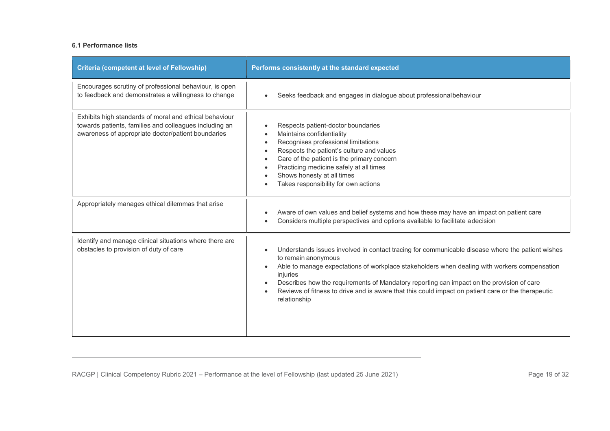| <b>Criteria (competent at level of Fellowship)</b>                                                                                                                     | Performs consistently at the standard expected                                                                                                                                                                                                                                                                                                                                                                                                         |
|------------------------------------------------------------------------------------------------------------------------------------------------------------------------|--------------------------------------------------------------------------------------------------------------------------------------------------------------------------------------------------------------------------------------------------------------------------------------------------------------------------------------------------------------------------------------------------------------------------------------------------------|
| Encourages scrutiny of professional behaviour, is open<br>to feedback and demonstrates a willingness to change                                                         | Seeks feedback and engages in dialogue about professional behaviour                                                                                                                                                                                                                                                                                                                                                                                    |
| Exhibits high standards of moral and ethical behaviour<br>towards patients, families and colleagues including an<br>awareness of appropriate doctor/patient boundaries | Respects patient-doctor boundaries<br>Maintains confidentiality<br>Recognises professional limitations<br>$\bullet$<br>Respects the patient's culture and values<br>$\bullet$<br>Care of the patient is the primary concern<br>Practicing medicine safely at all times<br>Shows honesty at all times<br>Takes responsibility for own actions                                                                                                           |
| Appropriately manages ethical dilemmas that arise                                                                                                                      | Aware of own values and belief systems and how these may have an impact on patient care<br>Considers multiple perspectives and options available to facilitate adecision                                                                                                                                                                                                                                                                               |
| Identify and manage clinical situations where there are<br>obstacles to provision of duty of care                                                                      | Understands issues involved in contact tracing for communicable disease where the patient wishes<br>to remain anonymous<br>Able to manage expectations of workplace stakeholders when dealing with workers compensation<br>injuries<br>Describes how the requirements of Mandatory reporting can impact on the provision of care<br>Reviews of fitness to drive and is aware that this could impact on patient care or the therapeutic<br>relationship |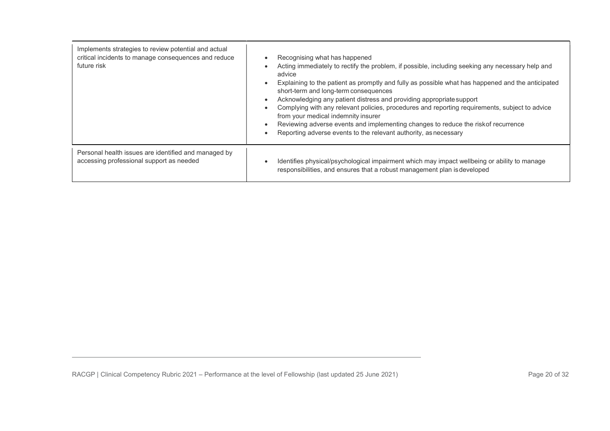| Implements strategies to review potential and actual<br>critical incidents to manage consequences and reduce<br>future risk | Recognising what has happened<br>$\bullet$<br>Acting immediately to rectify the problem, if possible, including seeking any necessary help and<br>٠<br>advice<br>Explaining to the patient as promptly and fully as possible what has happened and the anticipated<br>$\bullet$<br>short-term and long-term consequences<br>Acknowledging any patient distress and providing appropriate support<br>$\bullet$<br>Complying with any relevant policies, procedures and reporting requirements, subject to advice<br>$\bullet$<br>from your medical indemnity insurer<br>Reviewing adverse events and implementing changes to reduce the riskof recurrence<br>Reporting adverse events to the relevant authority, as necessary<br>$\bullet$ |
|-----------------------------------------------------------------------------------------------------------------------------|-------------------------------------------------------------------------------------------------------------------------------------------------------------------------------------------------------------------------------------------------------------------------------------------------------------------------------------------------------------------------------------------------------------------------------------------------------------------------------------------------------------------------------------------------------------------------------------------------------------------------------------------------------------------------------------------------------------------------------------------|
| Personal health issues are identified and managed by<br>accessing professional support as needed                            | Identifies physical/psychological impairment which may impact wellbeing or ability to manage<br>$\bullet$<br>responsibilities, and ensures that a robust management plan is developed                                                                                                                                                                                                                                                                                                                                                                                                                                                                                                                                                     |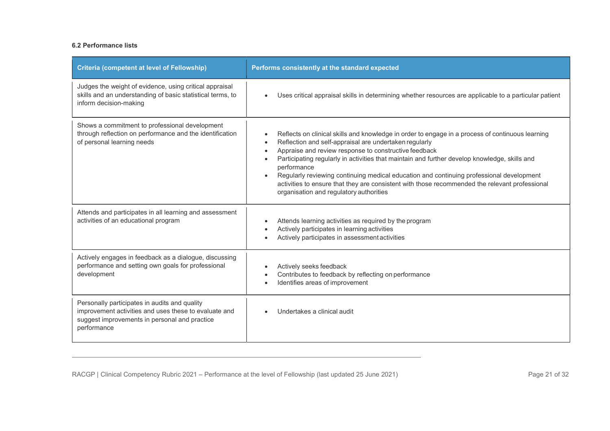| <b>Criteria (competent at level of Fellowship)</b>                                                                                                                     | Performs consistently at the standard expected                                                                                                                                                                                                                                                                                                                                                                                                                                                                                                                                            |
|------------------------------------------------------------------------------------------------------------------------------------------------------------------------|-------------------------------------------------------------------------------------------------------------------------------------------------------------------------------------------------------------------------------------------------------------------------------------------------------------------------------------------------------------------------------------------------------------------------------------------------------------------------------------------------------------------------------------------------------------------------------------------|
| Judges the weight of evidence, using critical appraisal<br>skills and an understanding of basic statistical terms, to<br>inform decision-making                        | Uses critical appraisal skills in determining whether resources are applicable to a particular patient                                                                                                                                                                                                                                                                                                                                                                                                                                                                                    |
| Shows a commitment to professional development<br>through reflection on performance and the identification<br>of personal learning needs                               | Reflects on clinical skills and knowledge in order to engage in a process of continuous learning<br>Reflection and self-appraisal are undertaken regularly<br>$\bullet$<br>Appraise and review response to constructive feedback<br>Participating regularly in activities that maintain and further develop knowledge, skills and<br>performance<br>Regularly reviewing continuing medical education and continuing professional development<br>activities to ensure that they are consistent with those recommended the relevant professional<br>organisation and regulatory authorities |
| Attends and participates in all learning and assessment<br>activities of an educational program                                                                        | Attends learning activities as required by the program<br>$\bullet$<br>Actively participates in learning activities<br>Actively participates in assessment activities                                                                                                                                                                                                                                                                                                                                                                                                                     |
| Actively engages in feedback as a dialogue, discussing<br>performance and setting own goals for professional<br>development                                            | Actively seeks feedback<br>Contributes to feedback by reflecting on performance<br>Identifies areas of improvement                                                                                                                                                                                                                                                                                                                                                                                                                                                                        |
| Personally participates in audits and quality<br>improvement activities and uses these to evaluate and<br>suggest improvements in personal and practice<br>performance | Undertakes a clinical audit                                                                                                                                                                                                                                                                                                                                                                                                                                                                                                                                                               |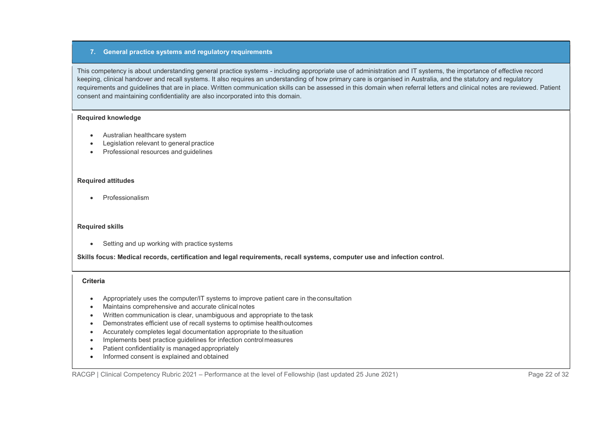## 7. General practice systems and regulatory requirements

This competency is about understanding general practice systems - including appropriate use of administration and IT systems, the importance of effective record keeping, clinical handover and recall systems. It also requires an understanding of how primary care is organised in Australia, and the statutory and regulatory requirements and guidelines that are in place. Written communication skills can be assessed in this domain when referral letters and clinical notes are reviewed. Patient consent and maintaining confidentiality are also incorporated into this domain.

#### Required knowledge

- Australian healthcare system
- Legislation relevant to general practice
- Professional resources and guidelines

#### Required attitudes

Professionalism

#### Required skills

• Setting and up working with practice systems

Skills focus: Medical records, certification and legal requirements, recall systems, computer use and infection control.

#### **Criteria**

- Appropriately uses the computer/IT systems to improve patient care in the consultation
- Maintains comprehensive and accurate clinical notes
- Written communication is clear, unambiguous and appropriate to the task
- Demonstrates efficient use of recall systems to optimise health outcomes
- Accurately completes legal documentation appropriate to the situation
- Implements best practice quidelines for infection control measures
- Patient confidentiality is managed appropriately
- Informed consent is explained and obtained

RACGP | Clinical Competency Rubric 2021 – Performance at the level of Fellowship (last updated 25 June 2021) Page 22 of 32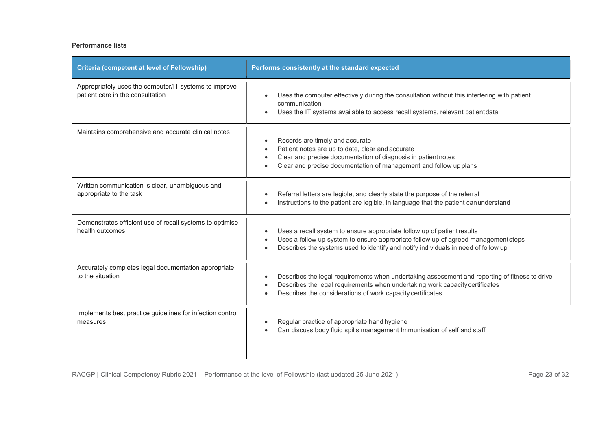# Performance lists

| <b>Criteria (competent at level of Fellowship)</b>                                        | Performs consistently at the standard expected                                                                                                                                                                                                                  |
|-------------------------------------------------------------------------------------------|-----------------------------------------------------------------------------------------------------------------------------------------------------------------------------------------------------------------------------------------------------------------|
| Appropriately uses the computer/IT systems to improve<br>patient care in the consultation | Uses the computer effectively during the consultation without this interfering with patient<br>communication<br>Uses the IT systems available to access recall systems, relevant patient data                                                                   |
| Maintains comprehensive and accurate clinical notes                                       | Records are timely and accurate<br>$\bullet$<br>Patient notes are up to date, clear and accurate<br>$\bullet$<br>Clear and precise documentation of diagnosis in patient notes<br>$\bullet$<br>Clear and precise documentation of management and follow upplans |
| Written communication is clear, unambiguous and<br>appropriate to the task                | Referral letters are legible, and clearly state the purpose of the referral<br>Instructions to the patient are legible, in language that the patient can understand                                                                                             |
| Demonstrates efficient use of recall systems to optimise<br>health outcomes               | Uses a recall system to ensure appropriate follow up of patient results<br>Uses a follow up system to ensure appropriate follow up of agreed managementsteps<br>Describes the systems used to identify and notify individuals in need of follow up              |
| Accurately completes legal documentation appropriate<br>to the situation                  | Describes the legal requirements when undertaking assessment and reporting of fitness to drive<br>Describes the legal requirements when undertaking work capacity certificates<br>Describes the considerations of work capacity certificates                    |
| Implements best practice guidelines for infection control<br>measures                     | Regular practice of appropriate hand hygiene<br>Can discuss body fluid spills management Immunisation of self and staff                                                                                                                                         |

RACGP | Clinical Competency Rubric 2021 – Performance at the level of Fellowship (last updated 25 June 2021) Page 23 of 32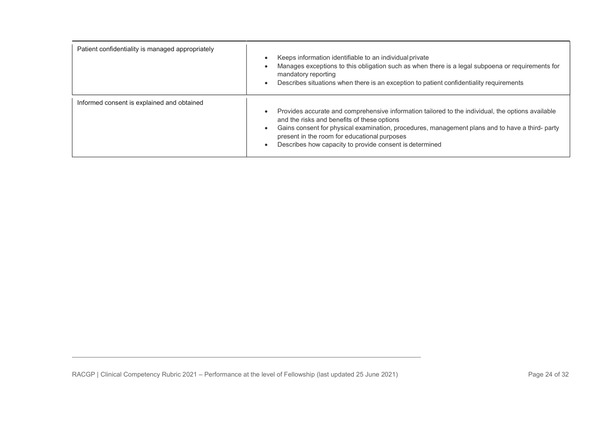| Patient confidentiality is managed appropriately | Keeps information identifiable to an individual private<br>Manages exceptions to this obligation such as when there is a legal subpoena or requirements for<br>mandatory reporting<br>Describes situations when there is an exception to patient confidentiality requirements                                                                                  |
|--------------------------------------------------|----------------------------------------------------------------------------------------------------------------------------------------------------------------------------------------------------------------------------------------------------------------------------------------------------------------------------------------------------------------|
| Informed consent is explained and obtained       | Provides accurate and comprehensive information tailored to the individual, the options available<br>and the risks and benefits of these options<br>Gains consent for physical examination, procedures, management plans and to have a third- party<br>present in the room for educational purposes<br>Describes how capacity to provide consent is determined |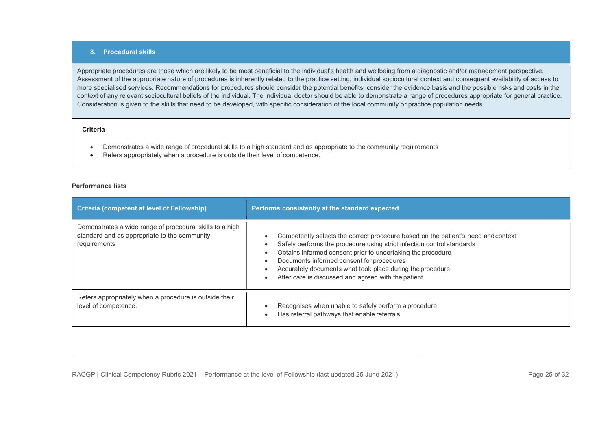## 8. Procedural skills

Appropriate procedures are those which are likely to be most beneficial to the individual's health and wellbeing from a diagnostic and/or management perspective. Assessment of the appropriate nature of procedures is inherently related to the practice setting, individual sociocultural context and consequent availability of access to more specialised services. Recommendations for procedures should consider the potential benefits, consider the evidence basis and the possible risks and costs in the context of any relevant sociocultural beliefs of the individual. The individual doctor should be able to demonstrate a range of procedures appropriate for general practice. Consideration is given to the skills that need to be developed, with specific consideration of the local community or practice population needs.

#### **Criteria**

- Demonstrates a wide range of procedural skills to a high standard and as appropriate to the community requirements
- Refers appropriately when a procedure is outside their level of competence.

| <b>Criteria (competent at level of Fellowship)</b>                                                                       | Performs consistently at the standard expected                                                                                                                                                                                                                                                                                                                                              |
|--------------------------------------------------------------------------------------------------------------------------|---------------------------------------------------------------------------------------------------------------------------------------------------------------------------------------------------------------------------------------------------------------------------------------------------------------------------------------------------------------------------------------------|
| Demonstrates a wide range of procedural skills to a high<br>standard and as appropriate to the community<br>requirements | Competently selects the correct procedure based on the patient's need and context<br>Safely performs the procedure using strict infection control standards<br>Obtains informed consent prior to undertaking the procedure<br>Documents informed consent for procedures<br>Accurately documents what took place during the procedure<br>After care is discussed and agreed with the patient |
| Refers appropriately when a procedure is outside their<br>level of competence.                                           | Recognises when unable to safely perform a procedure<br>Has referral pathways that enable referrals                                                                                                                                                                                                                                                                                         |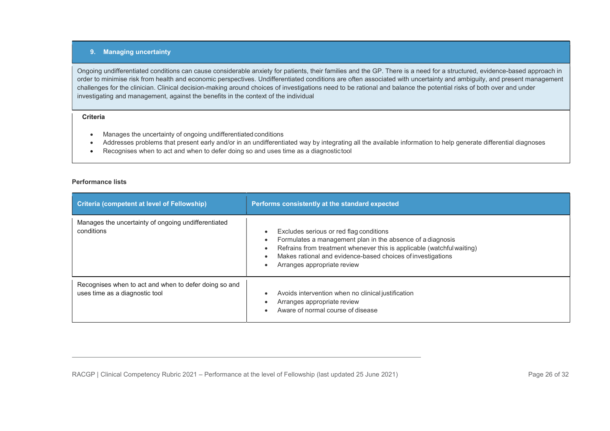## 9. Managing uncertainty

Ongoing undifferentiated conditions can cause considerable anxiety for patients, their families and the GP. There is a need for a structured, evidence-based approach in order to minimise risk from health and economic perspectives. Undifferentiated conditions are often associated with uncertainty and ambiguity, and present management challenges for the clinician. Clinical decision-making around choices of investigations need to be rational and balance the potential risks of both over and under investigating and management, against the benefits in the context of the individual

#### Criteria

- Manages the uncertainty of ongoing undifferentiated conditions
- Addresses problems that present early and/or in an undifferentiated way by integrating all the available information to help generate differential diagnoses
- Recognises when to act and when to defer doing so and uses time as a diagnostic tool

| <b>Criteria (competent at level of Fellowship)</b>                                      | Performs consistently at the standard expected                                                                                                                                                                                                                                |
|-----------------------------------------------------------------------------------------|-------------------------------------------------------------------------------------------------------------------------------------------------------------------------------------------------------------------------------------------------------------------------------|
| Manages the uncertainty of ongoing undifferentiated<br>conditions                       | Excludes serious or red flag conditions<br>Formulates a management plan in the absence of a diagnosis<br>Refrains from treatment whenever this is applicable (watchful waiting)<br>Makes rational and evidence-based choices of investigations<br>Arranges appropriate review |
| Recognises when to act and when to defer doing so and<br>uses time as a diagnostic tool | Avoids intervention when no clinical justification<br>Arranges appropriate review<br>Aware of normal course of disease                                                                                                                                                        |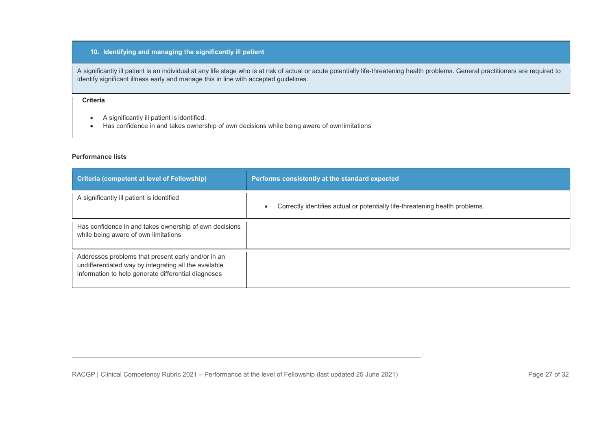# 10. Identifying and managing the significantly ill patient

A significantly ill patient is an individual at any life stage who is at risk of actual or acute potentially life-threatening health problems. General practitioners are required to identify significant illness early and manage this in line with accepted guidelines.

## Criteria

- A significantly ill patient is identified.
- Has confidence in and takes ownership of own decisions while being aware of own limitations

| Criteria (competent at level of Fellowship)                                                                                                                        | Performs consistently at the standard expected                                            |
|--------------------------------------------------------------------------------------------------------------------------------------------------------------------|-------------------------------------------------------------------------------------------|
| A significantly ill patient is identified                                                                                                                          | Correctly identifies actual or potentially life-threatening health problems.<br>$\bullet$ |
| Has confidence in and takes ownership of own decisions<br>while being aware of own limitations                                                                     |                                                                                           |
| Addresses problems that present early and/or in an<br>undifferentiated way by integrating all the available<br>information to help generate differential diagnoses |                                                                                           |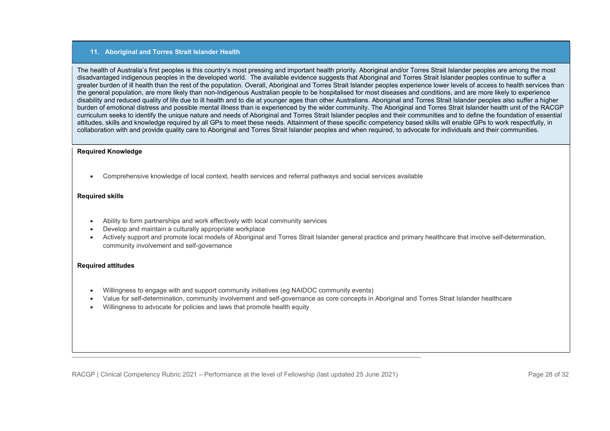## 11. Aboriginal and Torres Strait Islander Health

The health of Australia's first peoples is this country's most pressing and important health priority. Aboriginal and/or Torres Strait Islander peoples are among the most disadvantaged indigenous peoples in the developed world. The available evidence suggests that Aboriginal and Torres Strait Islander peoples continue to suffer a greater burden of ill health than the rest of the population. Overall, Aboriginal and Torres Strait Islander peoples experience lower levels of access to health services than the general population, are more likely than non-Indigenous Australian people to be hospitalised for most diseases and conditions, and are more likely to experience disability and reduced quality of life due to ill health and to die at younger ages than other Australians. Aboriginal and Torres Strait Islander peoples also suffer a higher burden of emotional distress and possible mental illness than is experienced by the wider community. The Aboriginal and Torres Strait Islander health unit of the RACGP curriculum seeks to identify the unique nature and needs of Aboriginal and Torres Strait Islander peoples and their communities and to define the foundation of essential attitudes, skills and knowledge required by all GPs to meet these needs. Attainment of these specific competency based skills will enable GPs to work respectfully, in collaboration with and provide quality care to Aboriginal and Torres Strait Islander peoples and when required, to advocate for individuals and their communities.

#### Required Knowledge

Comprehensive knowledge of local context, health services and referral pathways and social services available

## Required skills

- Ability to form partnerships and work effectively with local community services
- Develop and maintain a culturally appropriate workplace
- Actively support and promote local models of Aboriginal and Torres Strait Islander general practice and primary healthcare that involve self-determination, community involvement and self-governance

#### Required attitudes

- Willingness to engage with and support community initiatives (eg NAIDOC community events)
- Value for self-determination, community involvement and self-governance as core concepts in Aboriginal and Torres Strait Islander healthcare
- Willingness to advocate for policies and laws that promote health equity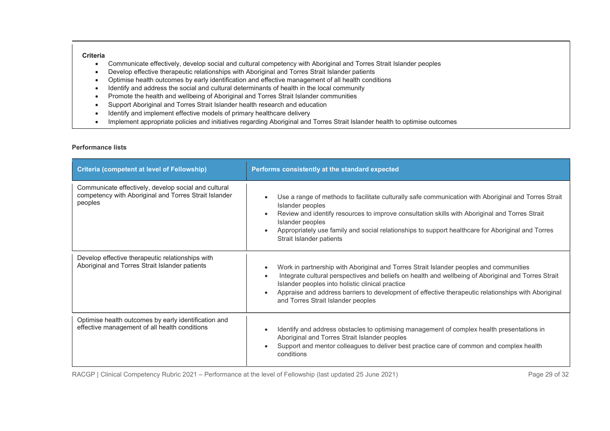- Communicate effectively, develop social and cultural competency with Aboriginal and Torres Strait Islander peoples
- Develop effective therapeutic relationships with Aboriginal and Torres Strait Islander patients
- Optimise health outcomes by early identification and effective management of all health conditions
- Identify and address the social and cultural determinants of health in the local community
- Promote the health and wellbeing of Aboriginal and Torres Strait Islander communities
- Support Aboriginal and Torres Strait Islander health research and education
- Identify and implement effective models of primary healthcare delivery
- Implement appropriate policies and initiatives regarding Aboriginal and Torres Strait Islander health to optimise outcomes

## Performance lists

| <b>Criteria (competent at level of Fellowship)</b>                                                                       | Performs consistently at the standard expected                                                                                                                                                                                                                                                                                                                                                              |
|--------------------------------------------------------------------------------------------------------------------------|-------------------------------------------------------------------------------------------------------------------------------------------------------------------------------------------------------------------------------------------------------------------------------------------------------------------------------------------------------------------------------------------------------------|
| Communicate effectively, develop social and cultural<br>competency with Aboriginal and Torres Strait Islander<br>peoples | Use a range of methods to facilitate culturally safe communication with Aboriginal and Torres Strait<br>Islander peoples<br>Review and identify resources to improve consultation skills with Aboriginal and Torres Strait<br>Islander peoples<br>Appropriately use family and social relationships to support healthcare for Aboriginal and Torres<br>Strait Islander patients                             |
| Develop effective therapeutic relationships with<br>Aboriginal and Torres Strait Islander patients                       | Work in partnership with Aboriginal and Torres Strait Islander peoples and communities<br>Integrate cultural perspectives and beliefs on health and wellbeing of Aboriginal and Torres Strait<br>$\bullet$<br>Islander peoples into holistic clinical practice<br>Appraise and address barriers to development of effective therapeutic relationships with Aboriginal<br>and Torres Strait Islander peoples |
| Optimise health outcomes by early identification and<br>effective management of all health conditions                    | Identify and address obstacles to optimising management of complex health presentations in<br>Aboriginal and Torres Strait Islander peoples<br>Support and mentor colleagues to deliver best practice care of common and complex health<br>conditions                                                                                                                                                       |

RACGP | Clinical Competency Rubric 2021 – Performance at the level of Fellowship (last updated 25 June 2021) Page 29 of 32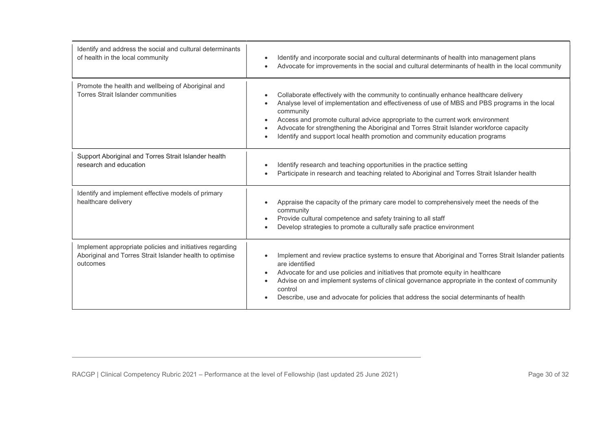| Identify and address the social and cultural determinants<br>of health in the local community                                    | Identify and incorporate social and cultural determinants of health into management plans<br>Advocate for improvements in the social and cultural determinants of health in the local community                                                                                                                                                                                                                                                                               |
|----------------------------------------------------------------------------------------------------------------------------------|-------------------------------------------------------------------------------------------------------------------------------------------------------------------------------------------------------------------------------------------------------------------------------------------------------------------------------------------------------------------------------------------------------------------------------------------------------------------------------|
| Promote the health and wellbeing of Aboriginal and<br>Torres Strait Islander communities                                         | Collaborate effectively with the community to continually enhance healthcare delivery<br>Analyse level of implementation and effectiveness of use of MBS and PBS programs in the local<br>community<br>Access and promote cultural advice appropriate to the current work environment<br>Advocate for strengthening the Aboriginal and Torres Strait Islander workforce capacity<br>Identify and support local health promotion and community education programs<br>$\bullet$ |
| Support Aboriginal and Torres Strait Islander health<br>research and education                                                   | Identify research and teaching opportunities in the practice setting<br>Participate in research and teaching related to Aboriginal and Torres Strait Islander health                                                                                                                                                                                                                                                                                                          |
| Identify and implement effective models of primary<br>healthcare delivery                                                        | Appraise the capacity of the primary care model to comprehensively meet the needs of the<br>community<br>Provide cultural competence and safety training to all staff<br>Develop strategies to promote a culturally safe practice environment                                                                                                                                                                                                                                 |
| Implement appropriate policies and initiatives regarding<br>Aboriginal and Torres Strait Islander health to optimise<br>outcomes | Implement and review practice systems to ensure that Aboriginal and Torres Strait Islander patients<br>are identified<br>Advocate for and use policies and initiatives that promote equity in healthcare<br>Advise on and implement systems of clinical governance appropriate in the context of community<br>control<br>Describe, use and advocate for policies that address the social determinants of health                                                               |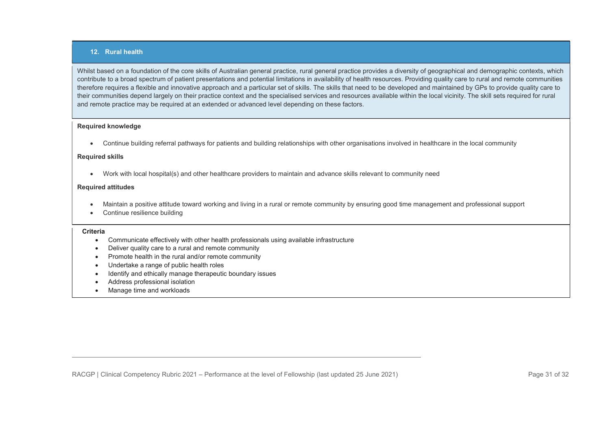## 12. Rural health

Whilst based on a foundation of the core skills of Australian general practice, rural general practice provides a diversity of geographical and demographic contexts, which contribute to a broad spectrum of patient presentations and potential limitations in availability of health resources. Providing quality care to rural and remote communities therefore requires a flexible and innovative approach and a particular set of skills. The skills that need to be developed and maintained by GPs to provide quality care to their communities depend largely on their practice context and the specialised services and resources available within the local vicinity. The skill sets required for rural and remote practice may be required at an extended or advanced level depending on these factors.

## Required knowledge

Continue building referral pathways for patients and building relationships with other organisations involved in healthcare in the local community

#### Required skills

Work with local hospital(s) and other healthcare providers to maintain and advance skills relevant to community need

## Required attitudes

- Maintain a positive attitude toward working and living in a rural or remote community by ensuring good time management and professional support
- Continue resilience building

#### **Criteria**

- Communicate effectively with other health professionals using available infrastructure
- Deliver quality care to a rural and remote community
- Promote health in the rural and/or remote community
- Undertake a range of public health roles
- Identify and ethically manage therapeutic boundary issues
- Address professional isolation
- Manage time and workloads